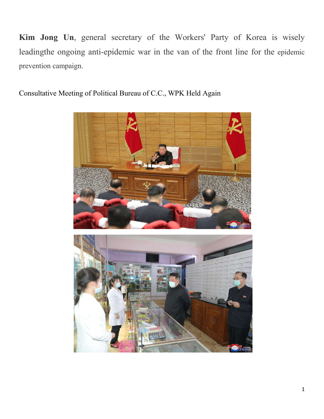**Kim Jong Un**, general secretary of the Workers' Party of Korea is wisely leadingthe ongoing anti-epidemic war in the van of the front line for the epidemic prevention campaign.

Consultative Meeting of Political Bureau of C.C., WPK Held Again

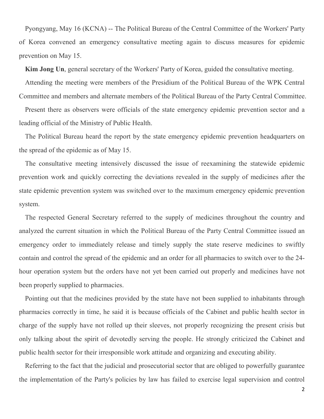Pyongyang, May 16 (KCNA) -- The Political Bureau of the Central Committee of the Workers' Party of Korea convened an emergency consultative meeting again to discuss measures for epidemic prevention on May 15.

**Kim Jong Un**, general secretary of the Workers' Party of Korea, guided the consultative meeting.

Attending the meeting were members of the Presidium of the Political Bureau of the WPK Central Committee and members and alternate members of the Political Bureau of the Party Central Committee.

Present there as observers were officials of the state emergency epidemic prevention sector and a leading official of the Ministry of Public Health.

The Political Bureau heard the report by the state emergency epidemic prevention headquarters on the spread of the epidemic as of May 15.

The consultative meeting intensively discussed the issue of reexamining the statewide epidemic prevention work and quickly correcting the deviations revealed in the supply of medicines after the state epidemic prevention system was switched over to the maximum emergency epidemic prevention system.

The respected General Secretary referred to the supply of medicines throughout the country and analyzed the current situation in which the Political Bureau of the Party Central Committee issued an emergency order to immediately release and timely supply the state reserve medicines to swiftly contain and control the spread of the epidemic and an order for all pharmacies to switch over to the 24 hour operation system but the orders have not yet been carried out properly and medicines have not been properly supplied to pharmacies.

Pointing out that the medicines provided by the state have not been supplied to inhabitants through pharmacies correctly in time, he said it is because officials of the Cabinet and public health sector in charge of the supply have not rolled up their sleeves, not properly recognizing the present crisis but only talking about the spirit of devotedly serving the people. He strongly criticized the Cabinet and public health sector for their irresponsible work attitude and organizing and executing ability.

Referring to the fact that the judicial and prosecutorial sector that are obliged to powerfully guarantee the implementation of the Party's policies by law has failed to exercise legal supervision and control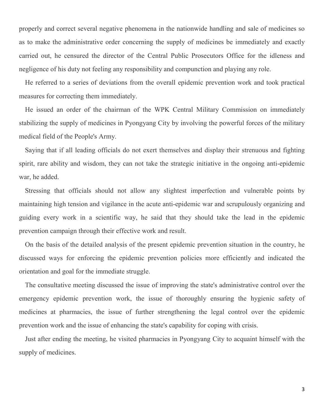properly and correct several negative phenomena in the nationwide handling and sale of medicines so as to make the administrative order concerning the supply of medicines be immediately and exactly carried out, he censured the director of the Central Public Prosecutors Office for the idleness and negligence of his duty not feeling any responsibility and compunction and playing any role.

He referred to a series of deviations from the overall epidemic prevention work and took practical measures for correcting them immediately.

He issued an order of the chairman of the WPK Central Military Commission on immediately stabilizing the supply of medicines in Pyongyang City by involving the powerful forces of the military medical field of the People's Army.

Saying that if all leading officials do not exert themselves and display their strenuous and fighting spirit, rare ability and wisdom, they can not take the strategic initiative in the ongoing anti-epidemic war, he added.

Stressing that officials should not allow any slightest imperfection and vulnerable points by maintaining high tension and vigilance in the acute anti-epidemic war and scrupulously organizing and guiding every work in a scientific way, he said that they should take the lead in the epidemic prevention campaign through their effective work and result.

On the basis of the detailed analysis of the present epidemic prevention situation in the country, he discussed ways for enforcing the epidemic prevention policies more efficiently and indicated the orientation and goal for the immediate struggle.

The consultative meeting discussed the issue of improving the state's administrative control over the emergency epidemic prevention work, the issue of thoroughly ensuring the hygienic safety of medicines at pharmacies, the issue of further strengthening the legal control over the epidemic prevention work and the issue of enhancing the state's capability for coping with crisis.

Just after ending the meeting, he visited pharmacies in Pyongyang City to acquaint himself with the supply of medicines.

3